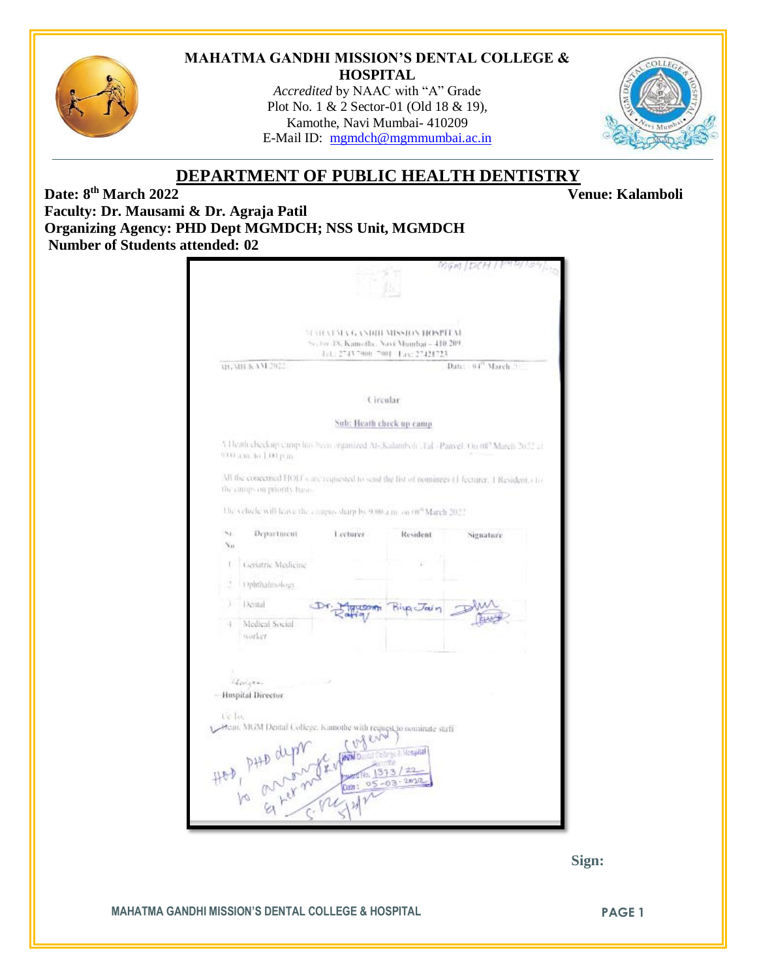

### **MAHATMA GANDHI MISSION'S DENTAL COLLEGE & HOSPITAL**

*Accredited* by NAAC with "A" Grade Plot No. 1 & 2 Sector-01 (Old 18 & 19), Kamothe, Navi Mumbai- 410209 E-Mail ID: [mgmdch@mgmmumbai.ac.in](mailto:mgmdch@mgmmumbai.ac.in)



**Venue: Kalamboli** 

# **DEPARTMENT OF PUBLIC HEALTH DENTISTRY**

**Date: 8 Faculty: Dr. Mausami & Dr. Agraja Patil Organizing Agency: PHD Dept MGMDCH; NSS Unit, MGMDCH Number of Students attended: 02**

| <b>SEVIEVELATA GANDIH MISSION HOSPITAL</b><br>Sector 18, Kamethe, Navi Mambai - 410-209.<br>101. 2743 7000 7001 133: 27421723<br>WANTAAN 2012<br>Date: 04" March. 91<br>Circular.<br>Sub: Heath check up camp<br>V Heatliceheckup camp has been organized At-Acalamboli . Fal - Panyel, On 087 March 2022 at<br>010 a.m. to 1.00 p.m.<br>All the concerned HOIT's and requested to send the list of nominees (1 fecturer, 1 Resident, c1/c<br>the camps on priority basis.<br>The vehicle will leave the compassharp by 9.00 a.m. on 00" March 2022.<br>Sr.<br>Department<br>Lectures<br>Resident<br>Signature<br>Nн<br><b>Lieriatric Medicine</b><br>ł.<br>Ophthalmology<br>Dental<br><b>Riculaui</b> r<br>Medical Social<br>worker<br>Univers<br>- Huspital Director<br>t'e la<br>Hean, MGM Dental College. Kamothe with request to nominate staff<br>L. Mosaital<br>HOD, PHD depth<br>for a her me dem 05-03 |  |  |  |  |  |  |
|-----------------------------------------------------------------------------------------------------------------------------------------------------------------------------------------------------------------------------------------------------------------------------------------------------------------------------------------------------------------------------------------------------------------------------------------------------------------------------------------------------------------------------------------------------------------------------------------------------------------------------------------------------------------------------------------------------------------------------------------------------------------------------------------------------------------------------------------------------------------------------------------------------------------|--|--|--|--|--|--|
|                                                                                                                                                                                                                                                                                                                                                                                                                                                                                                                                                                                                                                                                                                                                                                                                                                                                                                                 |  |  |  |  |  |  |
|                                                                                                                                                                                                                                                                                                                                                                                                                                                                                                                                                                                                                                                                                                                                                                                                                                                                                                                 |  |  |  |  |  |  |
|                                                                                                                                                                                                                                                                                                                                                                                                                                                                                                                                                                                                                                                                                                                                                                                                                                                                                                                 |  |  |  |  |  |  |
|                                                                                                                                                                                                                                                                                                                                                                                                                                                                                                                                                                                                                                                                                                                                                                                                                                                                                                                 |  |  |  |  |  |  |
|                                                                                                                                                                                                                                                                                                                                                                                                                                                                                                                                                                                                                                                                                                                                                                                                                                                                                                                 |  |  |  |  |  |  |
|                                                                                                                                                                                                                                                                                                                                                                                                                                                                                                                                                                                                                                                                                                                                                                                                                                                                                                                 |  |  |  |  |  |  |
|                                                                                                                                                                                                                                                                                                                                                                                                                                                                                                                                                                                                                                                                                                                                                                                                                                                                                                                 |  |  |  |  |  |  |
|                                                                                                                                                                                                                                                                                                                                                                                                                                                                                                                                                                                                                                                                                                                                                                                                                                                                                                                 |  |  |  |  |  |  |
|                                                                                                                                                                                                                                                                                                                                                                                                                                                                                                                                                                                                                                                                                                                                                                                                                                                                                                                 |  |  |  |  |  |  |
|                                                                                                                                                                                                                                                                                                                                                                                                                                                                                                                                                                                                                                                                                                                                                                                                                                                                                                                 |  |  |  |  |  |  |
|                                                                                                                                                                                                                                                                                                                                                                                                                                                                                                                                                                                                                                                                                                                                                                                                                                                                                                                 |  |  |  |  |  |  |
|                                                                                                                                                                                                                                                                                                                                                                                                                                                                                                                                                                                                                                                                                                                                                                                                                                                                                                                 |  |  |  |  |  |  |
|                                                                                                                                                                                                                                                                                                                                                                                                                                                                                                                                                                                                                                                                                                                                                                                                                                                                                                                 |  |  |  |  |  |  |
|                                                                                                                                                                                                                                                                                                                                                                                                                                                                                                                                                                                                                                                                                                                                                                                                                                                                                                                 |  |  |  |  |  |  |
|                                                                                                                                                                                                                                                                                                                                                                                                                                                                                                                                                                                                                                                                                                                                                                                                                                                                                                                 |  |  |  |  |  |  |
|                                                                                                                                                                                                                                                                                                                                                                                                                                                                                                                                                                                                                                                                                                                                                                                                                                                                                                                 |  |  |  |  |  |  |
|                                                                                                                                                                                                                                                                                                                                                                                                                                                                                                                                                                                                                                                                                                                                                                                                                                                                                                                 |  |  |  |  |  |  |
|                                                                                                                                                                                                                                                                                                                                                                                                                                                                                                                                                                                                                                                                                                                                                                                                                                                                                                                 |  |  |  |  |  |  |
|                                                                                                                                                                                                                                                                                                                                                                                                                                                                                                                                                                                                                                                                                                                                                                                                                                                                                                                 |  |  |  |  |  |  |
|                                                                                                                                                                                                                                                                                                                                                                                                                                                                                                                                                                                                                                                                                                                                                                                                                                                                                                                 |  |  |  |  |  |  |
|                                                                                                                                                                                                                                                                                                                                                                                                                                                                                                                                                                                                                                                                                                                                                                                                                                                                                                                 |  |  |  |  |  |  |



### **MAHATMA GANDHI MISSION'S DENTAL COLLEGE & HOSPITAL PAGE 1**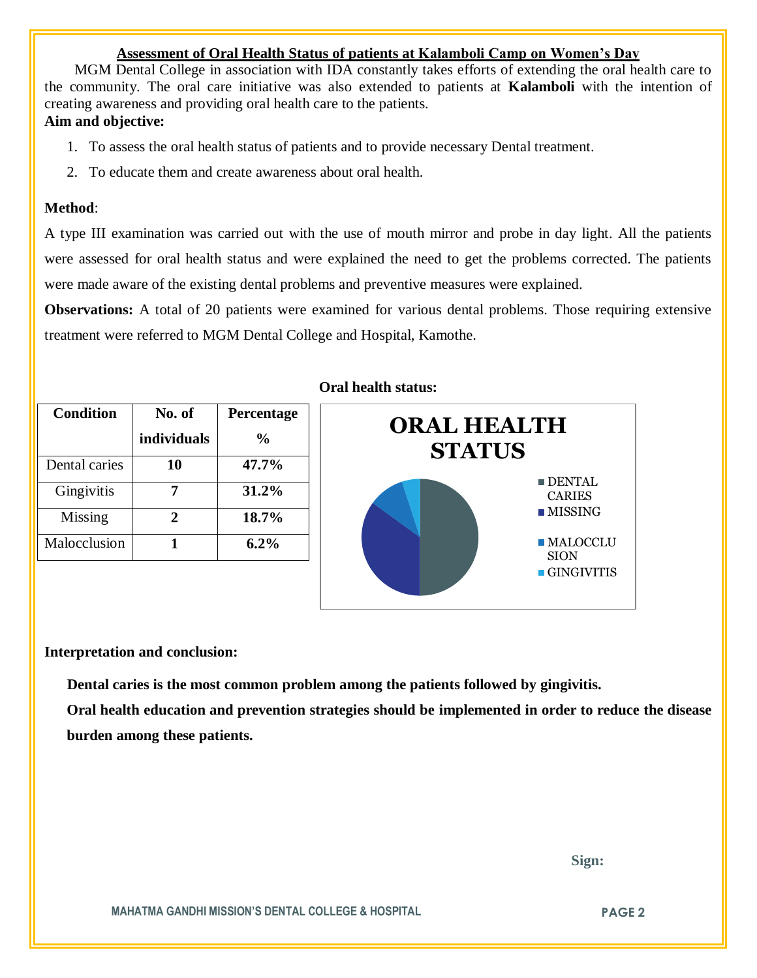## **Assessment of Oral Health Status of patients at Kalamboli Camp on Women's Day**

 MGM Dental College in association with IDA constantly takes efforts of extending the oral health care to the community. The oral care initiative was also extended to patients at **Kalamboli** with the intention of creating awareness and providing oral health care to the patients.

## **Aim and objective:**

- 1. To assess the oral health status of patients and to provide necessary Dental treatment.
- 2. To educate them and create awareness about oral health.

### **Method**:

A type III examination was carried out with the use of mouth mirror and probe in day light. All the patients were assessed for oral health status and were explained the need to get the problems corrected. The patients were made aware of the existing dental problems and preventive measures were explained.

**Observations:** A total of 20 patients were examined for various dental problems. Those requiring extensive treatment were referred to MGM Dental College and Hospital, Kamothe.

| <b>Condition</b> | No. of      | Percentage     |
|------------------|-------------|----------------|
|                  | individuals | $\frac{6}{10}$ |
| Dental caries    | 10          | 47.7%          |
| Gingivitis       |             | 31.2%          |
| Missing          | 7.          | 18.7%          |
| Malocclusion     |             | $6.2\%$        |

## **Oral health status:**



**Interpretation and conclusion:** 

 **Dental caries is the most common problem among the patients followed by gingivitis.**

**Oral health education and prevention strategies should be implemented in order to reduce the disease burden among these patients.**

 **Sign:**

**MAHATMA GANDHI MISSION'S DENTAL COLLEGE & HOSPITAL PAGE 2**